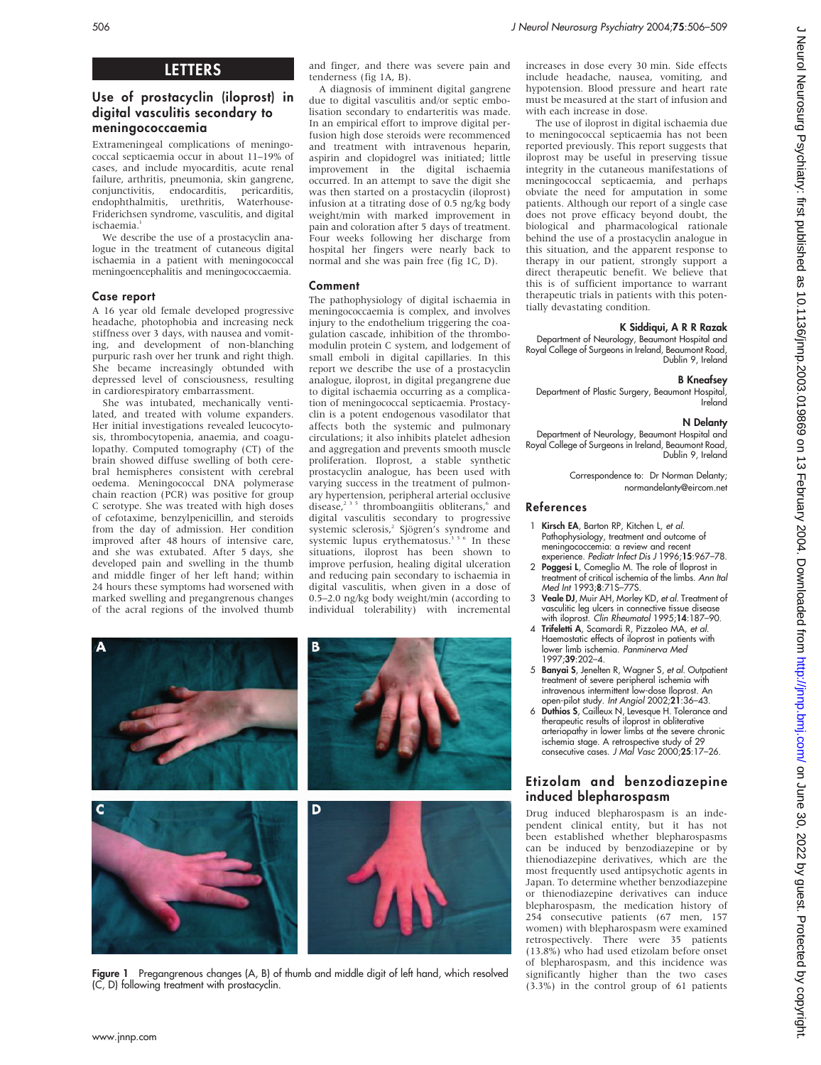# LETTERS

# Use of prostacyclin (iloprost) in digital vasculitis secondary to meningococcaemia

Extrameningeal complications of meningococcal septicaemia occur in about 11–19% of cases, and include myocarditis, acute renal failure, arthritis, pneumonia, skin gangrene, conjunctivitis, endocarditis, pericarditis, endophthalmitis, urethritis, Friderichsen syndrome, vasculitis, and digital ischaemia.<sup>1</sup>

We describe the use of a prostacyclin analogue in the treatment of cutaneous digital ischaemia in a patient with meningococcal meningoencephalitis and meningococcaemia.

## Case report

A 16 year old female developed progressive headache, photophobia and increasing neck stiffness over 3 days, with nausea and vomiting, and development of non-blanching purpuric rash over her trunk and right thigh. She became increasingly obtunded with depressed level of consciousness, resulting in cardiorespiratory embarrassment.

She was intubated, mechanically ventilated, and treated with volume expanders. Her initial investigations revealed leucocytosis, thrombocytopenia, anaemia, and coagulopathy. Computed tomography (CT) of the brain showed diffuse swelling of both cerebral hemispheres consistent with cerebral oedema. Meningococcal DNA polymerase chain reaction (PCR) was positive for group C serotype. She was treated with high doses of cefotaxime, benzylpenicillin, and steroids from the day of admission. Her condition improved after 48 hours of intensive care, and she was extubated. After 5 days, she developed pain and swelling in the thumb and middle finger of her left hand; within 24 hours these symptoms had worsened with marked swelling and pregangrenous changes of the acral regions of the involved thumb and finger, and there was severe pain and tenderness (fig 1A, B).

A diagnosis of imminent digital gangrene due to digital vasculitis and/or septic embolisation secondary to endarteritis was made. In an empirical effort to improve digital perfusion high dose steroids were recommenced and treatment with intravenous heparin, aspirin and clopidogrel was initiated; little improvement in the digital ischaemia occurred. In an attempt to save the digit she was then started on a prostacyclin (iloprost) infusion at a titrating dose of 0.5 ng/kg body weight/min with marked improvement in pain and coloration after 5 days of treatment. Four weeks following her discharge from hospital her fingers were nearly back to normal and she was pain free (fig 1C, D).

# Comment

The pathophysiology of digital ischaemia in meningococcaemia is complex, and involves injury to the endothelium triggering the coagulation cascade, inhibition of the thrombomodulin protein C system, and lodgement of small emboli in digital capillaries. In this report we describe the use of a prostacyclin analogue, iloprost, in digital pregangrene due to digital ischaemia occurring as a complication of meningococcal septicaemia. Prostacyclin is a potent endogenous vasodilator that affects both the systemic and pulmonary circulations; it also inhibits platelet adhesion and aggregation and prevents smooth muscle proliferation. Iloprost, a stable synthetic prostacyclin analogue, has been used with varying success in the treatment of pulmonary hypertension, peripheral arterial occlusive disease, $2^{3}$ <sup>5</sup> thromboangiitis obliterans, $6$  and digital vasculitis secondary to progressive systemic sclerosis,<sup>2</sup> Sjögren's syndrome and systemic lupus erythematosus.<sup>356</sup> In these situations, iloprost has been shown to improve perfusion, healing digital ulceration and reducing pain secondary to ischaemia in digital vasculitis, when given in a dose of 0.5–2.0 ng/kg body weight/min (according to individual tolerability) with incremental



Figure 1 Pregangrenous changes (A, B) of thumb and middle digit of left hand, which resolved (C, D) following treatment with prostacyclin.

increases in dose every 30 min. Side effects include headache, nausea, vomiting, and hypotension. Blood pressure and heart rate must be measured at the start of infusion and with each increase in dose.

The use of iloprost in digital ischaemia due to meningococcal septicaemia has not been reported previously. This report suggests that iloprost may be useful in preserving tissue integrity in the cutaneous manifestations of meningococcal septicaemia, and perhaps obviate the need for amputation in some patients. Although our report of a single case does not prove efficacy beyond doubt, the biological and pharmacological rationale behind the use of a prostacyclin analogue in this situation, and the apparent response to therapy in our patient, strongly support a direct therapeutic benefit. We believe that this is of sufficient importance to warrant therapeutic trials in patients with this potentially devastating condition.

# K Siddiqui, A R R Razak

Department of Neurology, Beaumont Hospital and Royal College of Surgeons in Ireland, Beaumont Road, Dublin 9, Ireland

# B Kneafsey

Department of Plastic Surgery, Beaumont Hospital, Ireland

# N Delanty

Department of Neurology, Beaumont Hospital and Royal College of Surgeons in Ireland, Beaumont Road, Dublin 9, Ireland

> Correspondence to: Dr Norman Delanty; normandelanty@eircom.net

## References

- Kirsch EA, Barton RP, Kitchen L, et al. Pathophysiology, treatment and outcome of meningococcemia: a review and recent experience. Pediatr Infect Dis J 1996;15:967–78.
- 2 Poggesi L, Comeglio M. The role of Iloprost in treatment of critical ischemia of the limbs. Ann Ital Med Int 1993;8:71S–77S.
- 3 Veale DJ, Muir AH, Morley KD, et al. Treatment of vasculitic leg ulcers in connective tissue disease with iloprost. Clin Rheumatol 1995;14:187–90.
- 4 Trifeletti A, Scamardi R, Pizzoleo MA, et al. Haemostatic effects of iloprost in patients with lower limb ischemia. Panminerva Med 1997;39:202–4.
- 5 Banyai S, Jenelten R, Wagner S, et al. Outpatient treatment of severe peripheral ischemia with intravenous intermittent low-dose Iloprost. An open-pilot study. Int Angiol 2002;21:36–43.
- 6 Duthios S, Cailleux N, Levesque H. Tolerance and therapeutic results of iloprost in obliterative arteriopathy in lower limbs at the severe chronic ischemia stage. A retrospective study of 29 consecutive cases. J Mal Vasc 2000;25:17–26.

# Etizolam and benzodiazepine induced blepharospasm

Drug induced blepharospasm is an independent clinical entity, but it has not been established whether blepharospasms can be induced by benzodiazepine or by thienodiazepine derivatives, which are the most frequently used antipsychotic agents in Japan. To determine whether benzodiazepine or thienodiazepine derivatives can induce blepharospasm, the medication history of 254 consecutive patients (67 men, 157 women) with blepharospasm were examined retrospectively. There were 35 patients (13.8%) who had used etizolam before onset of blepharospasm, and this incidence was significantly higher than the two cases (3.3%) in the control group of 61 patients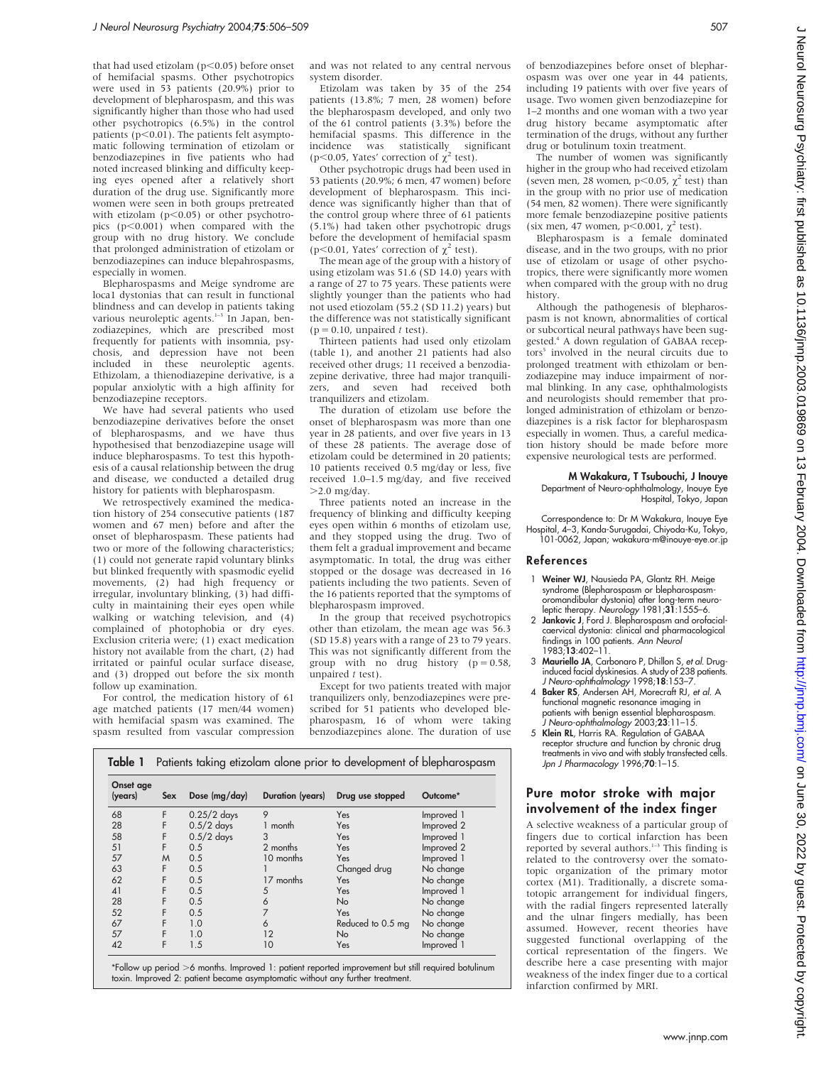that had used etizolam ( $p<0.05$ ) before onset of hemifacial spasms. Other psychotropics were used in 53 patients (20.9%) prior to development of blepharospasm, and this was significantly higher than those who had used other psychotropics (6.5%) in the control patients  $(p<0.01)$ . The patients felt asymptomatic following termination of etizolam or benzodiazepines in five patients who had noted increased blinking and difficulty keeping eyes opened after a relatively short duration of the drug use. Significantly more women were seen in both groups pretreated with etizolam ( $p<0.05$ ) or other psychotropics  $(p<0.001)$  when compared with the group with no drug history. We conclude that prolonged administration of etizolam or benzodiazepines can induce blepahrospasms, especially in women.

Blepharospasms and Meige syndrome are loca1 dystonias that can result in functional blindness and can develop in patients taking<br>various neuroleptic agents.<sup>1-3</sup> In Japan, benzodiazepines, which are prescribed most frequently for patients with insomnia, psychosis, and depression have not been included in these neuroleptic agents. Ethizolam, a thienodiazepine derivative, is a popular anxiolytic with a high affinity for benzodiazepine receptors.

We have had several patients who used benzodiazepine derivatives before the onset of blepharospasms, and we have thus hypothesised that benzodiazepine usage will induce blepharospasms. To test this hypothesis of a causal relationship between the drug and disease, we conducted a detailed drug history for patients with blepharospasm.

We retrospectively examined the medication history of 254 consecutive patients (187 women and 67 men) before and after the onset of blepharospasm. These patients had two or more of the following characteristics; (1) could not generate rapid voluntary blinks but blinked frequently with spasmodic eyelid movements, (2) had high frequency or irregular, involuntary blinking, (3) had difficulty in maintaining their eyes open while walking or watching television, and (4) complained of photophobia or dry eyes. Exclusion criteria were; (1) exact medication history not available from the chart, (2) had irritated or painful ocular surface disease, and (3) dropped out before the six month follow up examination.

For control, the medication history of 61 age matched patients (17 men/44 women) with hemifacial spasm was examined. The spasm resulted from vascular compression and was not related to any central nervous system disorder.

Etizolam was taken by 35 of the 254 patients (13.8%; 7 men, 28 women) before the blepharospasm developed, and only two of the 61 control patients (3.3%) before the hemifacial spasms. This difference in the incidence was statistically significant (p $\leq$ 0.05, Yates' correction of  $\chi^2$  test).

Other psychotropic drugs had been used in 53 patients (20.9%; 6 men, 47 women) before development of blepharospasm. This incidence was significantly higher than that of the control group where three of 61 patients (5.1%) had taken other psychotropic drugs before the development of hemifacial spasm ( $p \leq 0.01$ . Yates' correction of  $\gamma^2$  test).

The mean age of the group with a history of using etizolam was 51.6 (SD 14.0) years with a range of 27 to 75 years. These patients were slightly younger than the patients who had not used etiozolam (55.2 (SD 11.2) years) but the difference was not statistically significant  $(p = 0.10,$  unpaired t test).

Thirteen patients had used only etizolam (table 1), and another 21 patients had also received other drugs; 11 received a benzodiazepine derivative, three had major tranquilizers, and seven had received both tranquilizers and etizolam.

The duration of etizolam use before the onset of blepharospasm was more than one year in 28 patients, and over five years in 13 of these 28 patients. The average dose of etizolam could be determined in 20 patients; 10 patients received 0.5 mg/day or less, five received 1.0–1.5 mg/day, and five received  $>2.0$  mg/day.

Three patients noted an increase in the frequency of blinking and difficulty keeping eyes open within 6 months of etizolam use, and they stopped using the drug. Two of them felt a gradual improvement and became asymptomatic. In total, the drug was either stopped or the dosage was decreased in 16 patients including the two patients. Seven of the 16 patients reported that the symptoms of blepharospasm improved.

In the group that received psychotropics other than etizolam, the mean age was 56.3 (SD 15.8) years with a range of 23 to 79 years. This was not significantly different from the group with no drug history  $(p = 0.58,$ unpaired  $t$  test).

Except for two patients treated with major tranquilizers only, benzodiazepines were prescribed for 51 patients who developed blepharospasm, 16 of whom were taking benzodiazepines alone. The duration of use

| Table 1              |     | Patients taking etizolam alone prior to development of blepharospasm |                  |                  |                     |  |
|----------------------|-----|----------------------------------------------------------------------|------------------|------------------|---------------------|--|
| Onset age<br>(years) | Sex | Dose (mg/day)                                                        | Duration (years) | Drug use stopped | Outcome*            |  |
| 68                   |     | $0.25/2$ days                                                        |                  | Yes              | Improved 1          |  |
| 28                   |     | $0.5/2$ days                                                         | month            | Yes              | Improved 2          |  |
| 58                   |     | $0.5/2$ days                                                         |                  | Yes              | Improved 1          |  |
| 51                   |     | $\cap$ $\in$                                                         | جناء دوره د      | $V_{-2}$         | د امين مس <u>ين</u> |  |

| 51 |   | 0.5 | 2 months        | Yes               | Improved 2 |
|----|---|-----|-----------------|-------------------|------------|
| 57 | M | 0.5 | 10 months       | Yes               | Improved 1 |
| 63 |   | 0.5 |                 | Changed drug      | No change  |
| 62 |   | 0.5 | 17 months       | Yes               | No change  |
| 41 |   | 0.5 |                 | Yes               | Improved 1 |
| 28 |   | 0.5 |                 | <b>No</b>         | No change  |
| 52 |   | 0.5 |                 | Yes               | No change  |
| 67 |   | 1.0 |                 | Reduced to 0.5 mg | No change  |
| 57 |   | 1.0 | $\overline{12}$ | <b>No</b>         | No change  |
| 42 |   | l.5 | 10              | Yes               | Improved 1 |
|    |   |     |                 |                   |            |

\*Follow up period >6 months. Improved 1: patient reported improvement but still required botulinum toxin. Improved 2: patient became asymptomatic without any further treatment.

of benzodiazepines before onset of blepharospasm was over one year in 44 patients, including 19 patients with over five years of usage. Two women given benzodiazepine for 1–2 months and one woman with a two year drug history became asymptomatic after termination of the drugs, without any further drug or botulinum toxin treatment.

The number of women was significantly higher in the group who had received etizolam (seven men, 28 women, p<0.05,  $\chi^2$  test) than in the group with no prior use of medication (54 men, 82 women). There were significantly more female benzodiazepine positive patients (six men, 47 women,  $p$ <0.001,  $\chi^2$  test).

Blepharospasm is a female dominated disease, and in the two groups, with no prior use of etizolam or usage of other psychotropics, there were significantly more women when compared with the group with no drug history.

Although the pathogenesis of blepharospasm is not known, abnormalities of cortical or subcortical neural pathways have been suggested<sup>4</sup> A down regulation of GABAA receptors<sup>5</sup> involved in the neural circuits due to prolonged treatment with ethizolam or benzodiazepine may induce impairment of normal blinking. In any case, ophthalmologists and neurologists should remember that prolonged administration of ethizolam or benzodiazepines is a risk factor for blepharospasm especially in women. Thus, a careful medication history should be made before more expensive neurological tests are performed.

#### M Wakakura, T Tsubouchi, J Inouye Department of Neuro-ophthalmology, Inouye Eye Hospital, Tokyo, Japan

Correspondence to: Dr M Wakakura, Inouye Eye Hospital, 4–3, Kanda-Surugadai, Chiyoda-Ku, Tokyo, 101-0062, Japan; wakakura-m@inouye-eye.or.jp

### References

- 1 Weiner WJ, Nausieda PA, Glantz RH. Meige syndrome (Blepharospasm or blepharospasmoromandibular dystonia) after long-term neuroleptic therapy. Neurology  $1981;31:1555-6$ .
- 2 Jankovic J, Ford J. Blepharospasm and orofacialcaervical dystonia: clinical and pharmacological tindings in 100 patients. *Ann Neuro*<br>1983;**13**:402–11.
- 3 Mauriello JA, Carbonaro P, Dhillon S, et al. Druginduced facial dyskinesias. A study of 238 patients. J Neuro-ophthalmology 1998;18:153–7.
- 4 Baker RS, Andersen AH, Morecraft RJ, et al. A functional magnetic resonance imaging in patients with benign essential blepharospasm. J Neuro-ophthalmology 2003;23:11–15.
- 5 Klein RL, Harris RA. Regulation of GABAA receptor structure and function by chronic drug treatments in vivo and with stably transfected cells. Jpn J Pharmacology 1996;70:1–15.

## Pure motor stroke with major involvement of the index finger

A selective weakness of a particular group of fingers due to cortical infarction has been reported by several authors. $1-3$  This finding is related to the controversy over the somatotopic organization of the primary motor cortex (M1). Traditionally, a discrete somatotopic arrangement for individual fingers, with the radial fingers represented laterally and the ulnar fingers medially, has been assumed. However, recent theories have suggested functional overlapping of the cortical representation of the fingers. We describe here a case presenting with major weakness of the index finger due to a cortical infarction confirmed by MRI.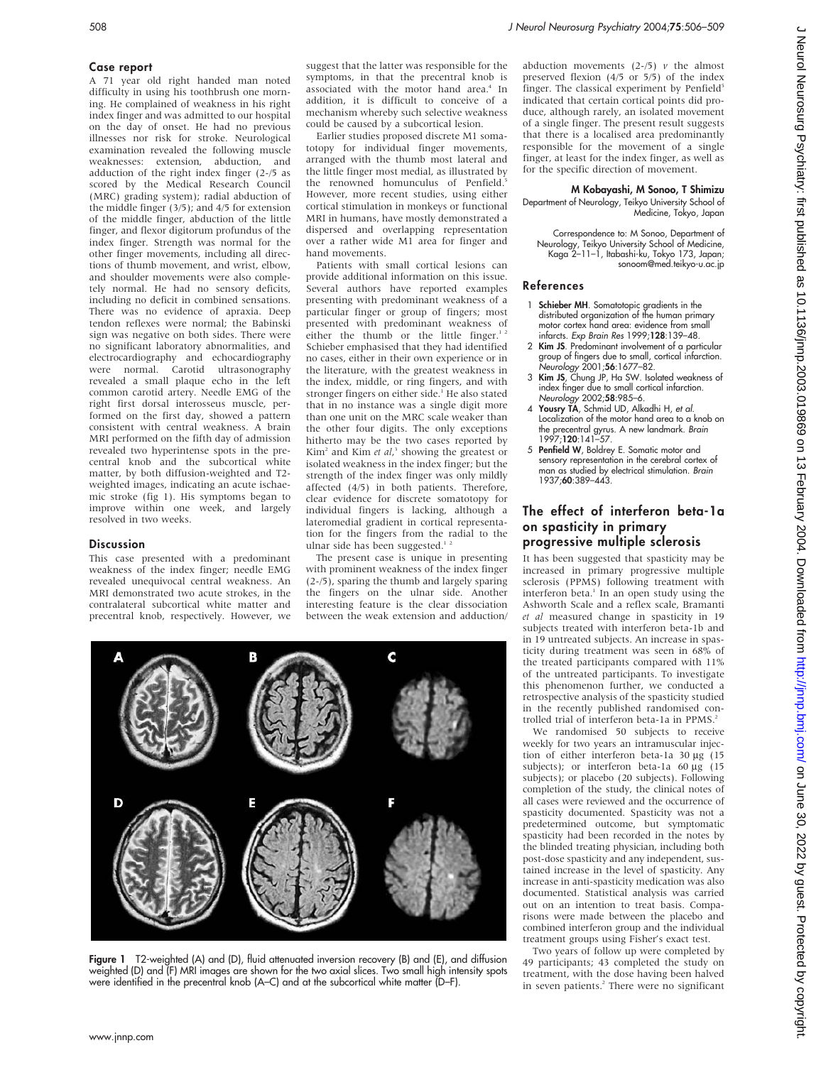## Case report

A 71 year old right handed man noted difficulty in using his toothbrush one morning. He complained of weakness in his right index finger and was admitted to our hospital on the day of onset. He had no previous illnesses nor risk for stroke. Neurological examination revealed the following muscle weaknesses: extension, abduction, and adduction of the right index finger (2-/5 as scored by the Medical Research Council (MRC) grading system); radial abduction of the middle finger (3/5); and 4/5 for extension of the middle finger, abduction of the little finger, and flexor digitorum profundus of the index finger. Strength was normal for the other finger movements, including all directions of thumb movement, and wrist, elbow, and shoulder movements were also completely normal. He had no sensory deficits, including no deficit in combined sensations. There was no evidence of apraxia. Deep tendon reflexes were normal; the Babinski sign was negative on both sides. There were no significant laboratory abnormalities, and electrocardiography and echocardiography<br>were normal. Carotid ultrasonography  $\overrightarrow{C}$ arotid ultrasonography revealed a small plaque echo in the left common carotid artery. Needle EMG of the right first dorsal interosseus muscle, performed on the first day, showed a pattern consistent with central weakness. A brain MRI performed on the fifth day of admission revealed two hyperintense spots in the precentral knob and the subcortical white matter, by both diffusion-weighted and T2 weighted images, indicating an acute ischaemic stroke (fig 1). His symptoms began to improve within one week, and largely resolved in two weeks.

### **Discussion**

This case presented with a predominant weakness of the index finger; needle EMG revealed unequivocal central weakness. An MRI demonstrated two acute strokes, in the contralateral subcortical white matter and precentral knob, respectively. However, we

suggest that the latter was responsible for the symptoms, in that the precentral knob is associated with the motor hand area.<sup>4</sup> In addition, it is difficult to conceive of a mechanism whereby such selective weakness could be caused by a subcortical lesion.

Earlier studies proposed discrete M1 somatotopy for individual finger movements, arranged with the thumb most lateral and the little finger most medial, as illustrated by the renowned homunculus of Penfield.<sup>5</sup> However, more recent studies, using either cortical stimulation in monkeys or functional MRI in humans, have mostly demonstrated a dispersed and overlapping representation over a rather wide M1 area for finger and hand movements.

Patients with small cortical lesions can provide additional information on this issue. Several authors have reported examples presenting with predominant weakness of a particular finger or group of fingers; most presented with predominant weakness of either the thumb or the little finger.<sup>1</sup> Schieber emphasised that they had identified no cases, either in their own experience or in the literature, with the greatest weakness in the index, middle, or ring fingers, and with stronger fingers on either side.<sup>1</sup> He also stated that in no instance was a single digit more than one unit on the MRC scale weaker than the other four digits. The only exceptions hitherto may be the two cases reported by  $Kim<sup>2</sup>$  and Kim *et al*,<sup>3</sup> showing the greatest or isolated weakness in the index finger; but the strength of the index finger was only mildly affected (4/5) in both patients. Therefore, clear evidence for discrete somatotopy for individual fingers is lacking, although a lateromedial gradient in cortical representation for the fingers from the radial to the ulnar side has been suggested.<sup>1</sup>

The present case is unique in presenting with prominent weakness of the index finger (2-/5), sparing the thumb and largely sparing the fingers on the ulnar side. Another interesting feature is the clear dissociation between the weak extension and adduction/



Figure 1 T2-weighted (A) and (D), fluid attenuated inversion recovery (B) and (E), and diffusion weighted (D) and (F) MRI images are shown for the two axial slices. Two small high intensity spots were identified in the precentral knob (A–C) and at the subcortical white matter (D–F).

abduction movements  $(2-/5)$  v the almost preserved flexion (4/5 or 5/5) of the index finger. The classical experiment by Penfield<sup>5</sup> indicated that certain cortical points did produce, although rarely, an isolated movement of a single finger. The present result suggests that there is a localised area predominantly responsible for the movement of a single finger, at least for the index finger, as well as for the specific direction of movement.

# M Kobayashi, M Sonoo, T Shimizu

Department of Neurology, Teikyo University School of Medicine, Tokyo, Japan

Correspondence to: M Sonoo, Department of Neurology, Teikyo University School of Medicine, Kaga 2–11–1, Itabashi-ku, Tokyo 173, Japan; sonoom@med.teikyo-u.ac.jp

## References

- 1 Schieber MH. Somatotopic gradients in the distributed organization of the human primary motor cortex hand area: evidence from small infarcts. Exp Brain Res 1999;128:139–48.
- 2 Kim JS. Predominant involvement of a particular group of fingers due to small, cortical infarction. Neurology 2001;56:1677–82.
- 3 Kim JS, Chung JP, Ha SW. Isolated weakness of index finger due to small cortical infarction. Neurology 2002;58:985–6.
- 4 Yousry TA, Schmid UD, Alkadhi H, et al. Localization of the motor hand area to a knob on the precentral gyrus. A new landmark. Brain 1997;120:141–57.
- 5 Penfield W, Boldrey E. Somatic motor and sensory representation in the cerebral cortex of man as studied by electrical stimulation. Brain 1937;60:389–443.

## The effect of interferon beta-1a on spasticity in primary progressive multiple sclerosis

It has been suggested that spasticity may be increased in primary progressive multiple sclerosis (PPMS) following treatment with interferon beta. $1$  In an open study using the Ashworth Scale and a reflex scale, Bramanti et al measured change in spasticity in 19 subjects treated with interferon beta-1b and in 19 untreated subjects. An increase in spasticity during treatment was seen in 68% of the treated participants compared with 11% of the untreated participants. To investigate this phenomenon further, we conducted a retrospective analysis of the spasticity studied in the recently published randomised controlled trial of interferon beta-1a in PPMS.<sup>2</sup>

We randomised 50 subjects to receive weekly for two years an intramuscular injection of either interferon beta-1a  $30 \mu g$  (15 subjects); or interferon beta-1a  $60 \mu g$  (15 subjects); or placebo (20 subjects). Following completion of the study, the clinical notes of all cases were reviewed and the occurrence of spasticity documented. Spasticity was not a predetermined outcome, but symptomatic spasticity had been recorded in the notes by the blinded treating physician, including both post-dose spasticity and any independent, sustained increase in the level of spasticity. Any increase in anti-spasticity medication was also documented. Statistical analysis was carried out on an intention to treat basis. Comparisons were made between the placebo and combined interferon group and the individual treatment groups using Fisher's exact test.

Two years of follow up were completed by 49 participants; 43 completed the study on treatment, with the dose having been halved in seven patients.<sup>2</sup> There were no significant